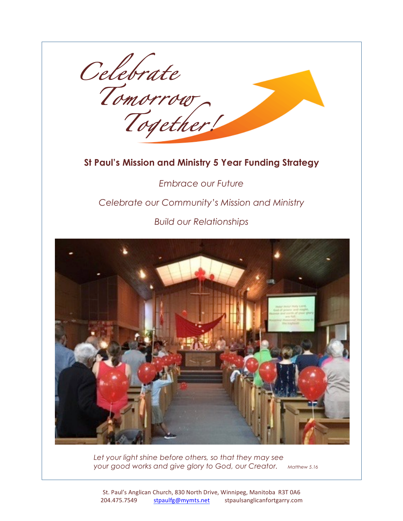*Celebrate Tomorrow Together!*

# **St Paul's Mission and Ministry 5 Year Funding Strategy**

*Embrace our Future Celebrate our Community's Mission and Ministry* 

*Build our Relationships*



*Let your light shine before others, so that they may see your good works and give glory to God, our Creator. Matthew 5.16*

St. Paul's Anglican Church, 830 North Drive, Winnipeg, Manitoba R3T 0A6 204.475.7549 stpaulfg@mymts.net stpaulsanglicanfortgarry.com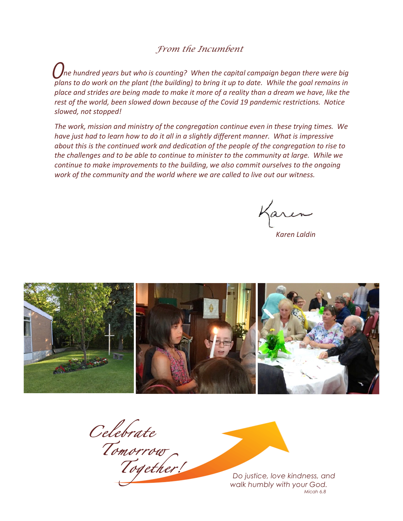### *From the Incumbent*

 $\hat{O}$ ne hundred years but who is counting? When the capital campaign began there were big *plans* to do work on the plant (the building) to bring it up to date. While the goal remains in place and strides are being made to make it more of a reality than a dream we have, like the rest of the world, been slowed down because of the Covid 19 pandemic restrictions. Notice *slowed, not stopped!*

The work, mission and ministry of the congregation continue even in these trying times. We *have* just had to learn how to do it all in a slightly different manner. What is impressive *about this is the continued work and dedication of the people of the congregation to rise to the challenges and to be able to continue to minister to the community at large. While we continue to make improvements to the building, we also commit ourselves to the ongoing work* of the community and the world where we are called to live out our witness.

faren

*Karen* Laldin



*Celebrate Tomorrow*

*Together! Do justice, love kindness, and walk humbly with your God. Micah 6.8*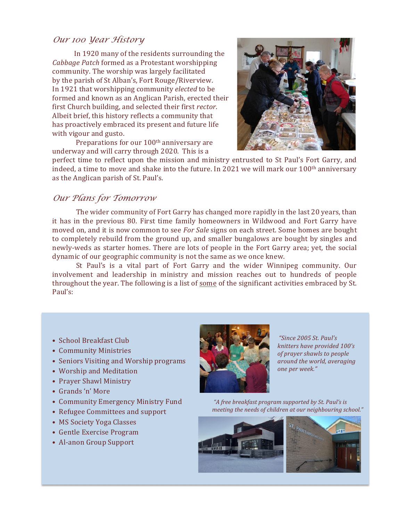### *Our 100 Year History*

In 1920 many of the residents surrounding the *Cabbage Patch* formed as a Protestant worshipping community. The worship was largely facilitated by the parish of St Alban's, Fort Rouge/Riverview. In 1921 that worshipping community *elected* to be formed and known as an Anglican Parish, erected their first Church building, and selected their first *rector*. Albeit brief, this history reflects a community that has proactively embraced its present and future life with vigour and gusto.

Preparations for our 100<sup>th</sup> anniversary are underway and will carry through 2020. This is a



perfect time to reflect upon the mission and ministry entrusted to St Paul's Fort Garry, and indeed, a time to move and shake into the future. In 2021 we will mark our 100<sup>th</sup> anniversary as the Anglican parish of St. Paul's.

#### *Our Plans for Tomorrow*

The wider community of Fort Garry has changed more rapidly in the last 20 years, than it has in the previous 80. First time family homeowners in Wildwood and Fort Garry have moved on, and it is now common to see *For Sale* signs on each street. Some homes are bought to completely rebuild from the ground up, and smaller bungalows are bought by singles and newly-weds as starter homes. There are lots of people in the Fort Garry area; yet, the social dynamic of our geographic community is not the same as we once knew.

St Paul's is a vital part of Fort Garry and the wider Winnipeg community. Our involvement and leadership in ministry and mission reaches out to hundreds of people throughout the year. The following is a list of some of the significant activities embraced by St. Paul's: 

- School Breakfast Club
- Community Ministries
- Seniors Visiting and Worship programs
- Worship and Meditation
- Prayer Shawl Ministry
- Grands 'n' More
- Community Emergency Ministry Fund
- Refugee Committees and support
- MS Society Yoga Classes
- Gentle Exercise Program
- Al-anon Group Support



*"Since 2005 St. Paul's knitters have provided 100's of prayer shawls to people around the world, averaging one per week."*

*"A free breakfast program supported by St. Paul's is meeting the needs of children at our neighbouring school."*